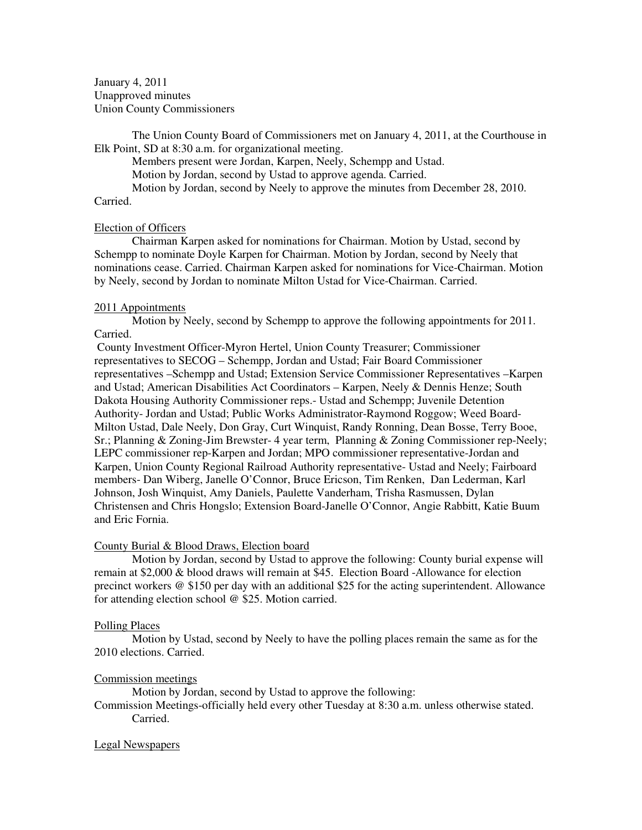January 4, 2011 Unapproved minutes Union County Commissioners

The Union County Board of Commissioners met on January 4, 2011, at the Courthouse in Elk Point, SD at 8:30 a.m. for organizational meeting.

Members present were Jordan, Karpen, Neely, Schempp and Ustad.

Motion by Jordan, second by Ustad to approve agenda. Carried.

Motion by Jordan, second by Neely to approve the minutes from December 28, 2010.

# Carried.

## Election of Officers

 Chairman Karpen asked for nominations for Chairman. Motion by Ustad, second by Schempp to nominate Doyle Karpen for Chairman. Motion by Jordan, second by Neely that nominations cease. Carried. Chairman Karpen asked for nominations for Vice-Chairman. Motion by Neely, second by Jordan to nominate Milton Ustad for Vice-Chairman. Carried.

## 2011 Appointments

Motion by Neely, second by Schempp to approve the following appointments for 2011. Carried.

County Investment Officer-Myron Hertel, Union County Treasurer; Commissioner representatives to SECOG – Schempp, Jordan and Ustad; Fair Board Commissioner representatives –Schempp and Ustad; Extension Service Commissioner Representatives –Karpen and Ustad; American Disabilities Act Coordinators – Karpen, Neely & Dennis Henze; South Dakota Housing Authority Commissioner reps.- Ustad and Schempp; Juvenile Detention Authority- Jordan and Ustad; Public Works Administrator-Raymond Roggow; Weed Board-Milton Ustad, Dale Neely, Don Gray, Curt Winquist, Randy Ronning, Dean Bosse, Terry Booe, Sr.; Planning & Zoning-Jim Brewster- 4 year term, Planning & Zoning Commissioner rep-Neely; LEPC commissioner rep-Karpen and Jordan; MPO commissioner representative-Jordan and Karpen, Union County Regional Railroad Authority representative- Ustad and Neely; Fairboard members- Dan Wiberg, Janelle O'Connor, Bruce Ericson, Tim Renken, Dan Lederman, Karl Johnson, Josh Winquist, Amy Daniels, Paulette Vanderham, Trisha Rasmussen, Dylan Christensen and Chris Hongslo; Extension Board-Janelle O'Connor, Angie Rabbitt, Katie Buum and Eric Fornia.

#### County Burial & Blood Draws, Election board

 Motion by Jordan, second by Ustad to approve the following: County burial expense will remain at \$2,000 & blood draws will remain at \$45. Election Board -Allowance for election precinct workers @ \$150 per day with an additional \$25 for the acting superintendent. Allowance for attending election school @ \$25. Motion carried.

#### Polling Places

 Motion by Ustad, second by Neely to have the polling places remain the same as for the 2010 elections. Carried.

# Commission meetings

Motion by Jordan, second by Ustad to approve the following:

Commission Meetings-officially held every other Tuesday at 8:30 a.m. unless otherwise stated. Carried.

# Legal Newspapers